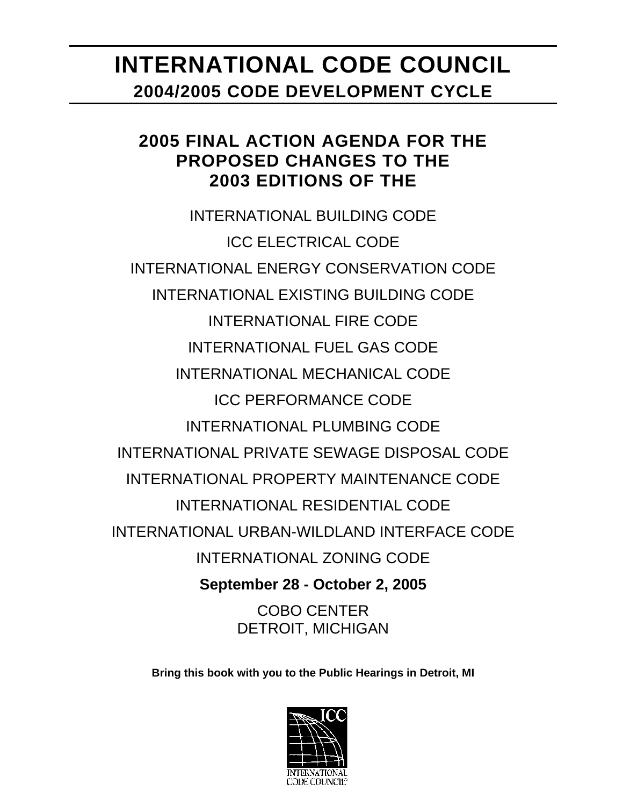# **INTERNATIONAL CODE COUNCIL 2004/2005 CODE DEVELOPMENT CYCLE**

# **2005 FINAL ACTION AGENDA FOR THE PROPOSED CHANGES TO THE 2003 EDITIONS OF THE**

INTERNATIONAL BUILDING CODE ICC ELECTRICAL CODE INTERNATIONAL ENERGY CONSERVATION CODE INTERNATIONAL EXISTING BUILDING CODE INTERNATIONAL FIRE CODE INTERNATIONAL FUEL GAS CODE INTERNATIONAL MECHANICAL CODE ICC PERFORMANCE CODE INTERNATIONAL PLUMBING CODE INTERNATIONAL PRIVATE SEWAGE DISPOSAL CODE INTERNATIONAL PROPERTY MAINTENANCE CODE INTERNATIONAL RESIDENTIAL CODE INTERNATIONAL URBAN-WILDLAND INTERFACE CODE INTERNATIONAL ZONING CODE **September 28 - October 2, 2005**  COBO CENTER DETROIT, MICHIGAN

**Bring this book with you to the Public Hearings in Detroit, MI** 

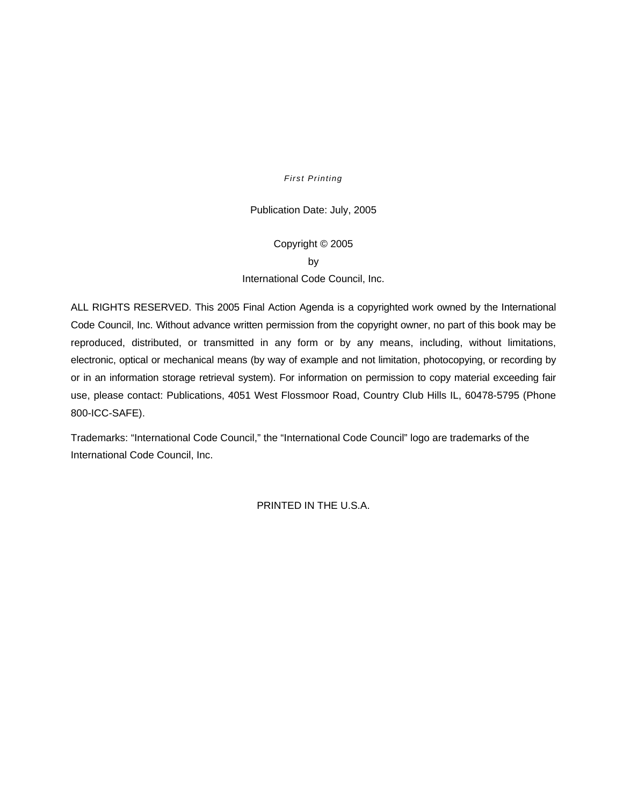#### *First Printing*

#### Publication Date: July, 2005

### Copyright © 2005 by International Code Council, Inc.

ALL RIGHTS RESERVED. This 2005 Final Action Agenda is a copyrighted work owned by the International Code Council, Inc. Without advance written permission from the copyright owner, no part of this book may be reproduced, distributed, or transmitted in any form or by any means, including, without limitations, electronic, optical or mechanical means (by way of example and not limitation, photocopying, or recording by or in an information storage retrieval system). For information on permission to copy material exceeding fair use, please contact: Publications, 4051 West Flossmoor Road, Country Club Hills IL, 60478-5795 (Phone 800-ICC-SAFE).

Trademarks: "International Code Council," the "International Code Council" logo are trademarks of the International Code Council, Inc.

PRINTED IN THE U.S.A.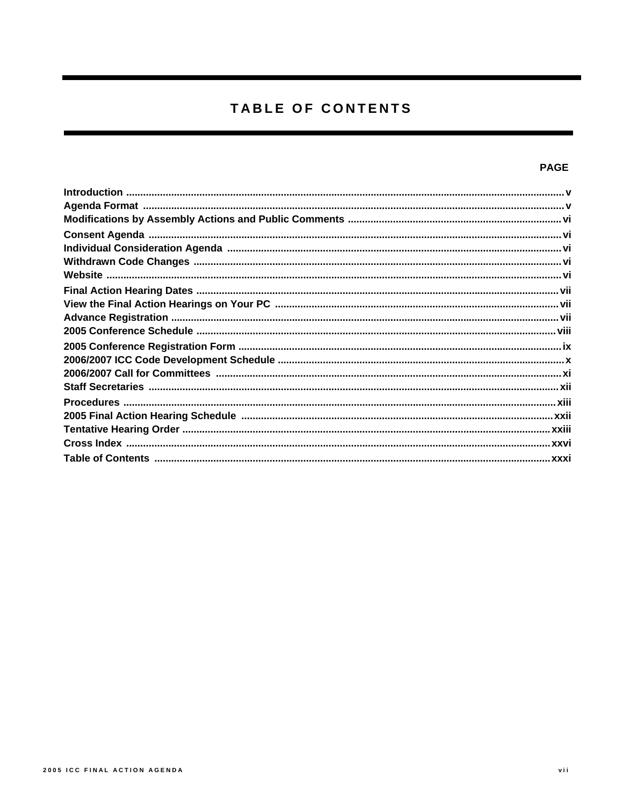# TABLE OF CONTENTS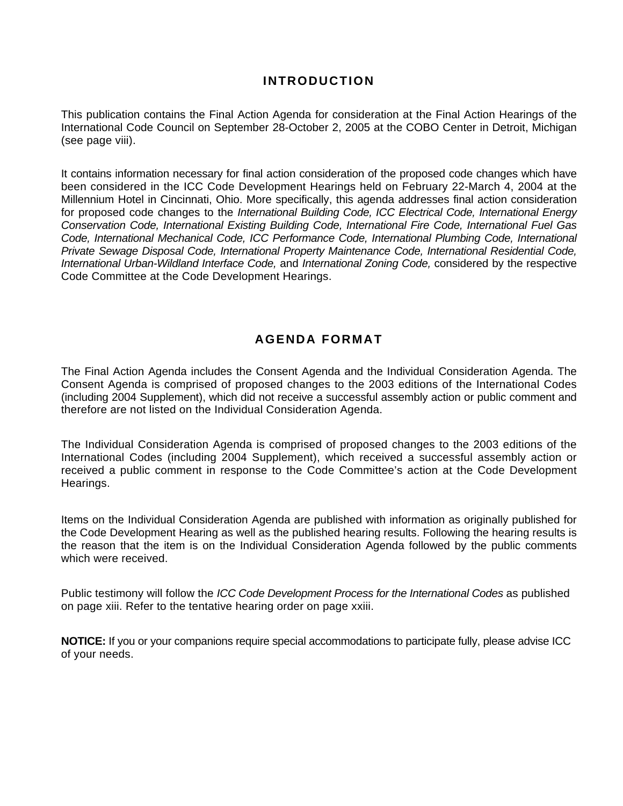### **INTRODUCTION**

This publication contains the Final Action Agenda for consideration at the Final Action Hearings of the International Code Council on September 28-October 2, 2005 at the COBO Center in Detroit, Michigan (see page viii).

It contains information necessary for final action consideration of the proposed code changes which have been considered in the ICC Code Development Hearings held on February 22-March 4, 2004 at the Millennium Hotel in Cincinnati, Ohio. More specifically, this agenda addresses final action consideration for proposed code changes to the *International Building Code, ICC Electrical Code, International Energy Conservation Code, International Existing Building Code, International Fire Code, International Fuel Gas Code, International Mechanical Code, ICC Performance Code, International Plumbing Code, International Private Sewage Disposal Code, International Property Maintenance Code, International Residential Code, International Urban-Wildland Interface Code,* and *International Zoning Code,* considered by the respective Code Committee at the Code Development Hearings.

### **AGENDA FORMAT**

The Final Action Agenda includes the Consent Agenda and the Individual Consideration Agenda. The Consent Agenda is comprised of proposed changes to the 2003 editions of the International Codes (including 2004 Supplement), which did not receive a successful assembly action or public comment and therefore are not listed on the Individual Consideration Agenda.

The Individual Consideration Agenda is comprised of proposed changes to the 2003 editions of the International Codes (including 2004 Supplement), which received a successful assembly action or received a public comment in response to the Code Committee's action at the Code Development Hearings.

Items on the Individual Consideration Agenda are published with information as originally published for the Code Development Hearing as well as the published hearing results. Following the hearing results is the reason that the item is on the Individual Consideration Agenda followed by the public comments which were received.

Public testimony will follow the *ICC Code Development Process for the International Codes* as published on page xiii. Refer to the tentative hearing order on page xxiii.

**NOTICE:** If you or your companions require special accommodations to participate fully, please advise ICC of your needs.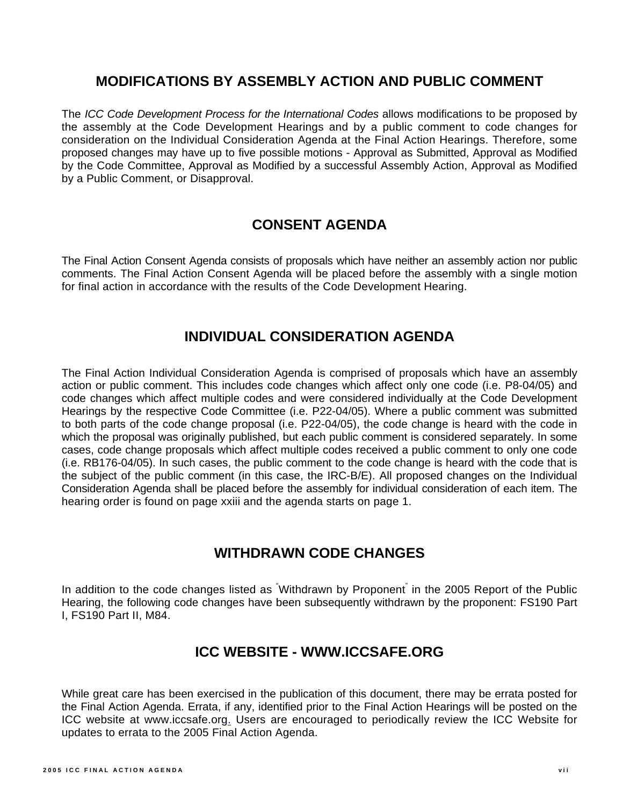### **MODIFICATIONS BY ASSEMBLY ACTION AND PUBLIC COMMENT**

The *ICC Code Development Process for the International Codes* allows modifications to be proposed by the assembly at the Code Development Hearings and by a public comment to code changes for consideration on the Individual Consideration Agenda at the Final Action Hearings. Therefore, some proposed changes may have up to five possible motions - Approval as Submitted, Approval as Modified by the Code Committee, Approval as Modified by a successful Assembly Action, Approval as Modified by a Public Comment, or Disapproval.

### **CONSENT AGENDA**

The Final Action Consent Agenda consists of proposals which have neither an assembly action nor public comments. The Final Action Consent Agenda will be placed before the assembly with a single motion for final action in accordance with the results of the Code Development Hearing.

### **INDIVIDUAL CONSIDERATION AGENDA**

The Final Action Individual Consideration Agenda is comprised of proposals which have an assembly action or public comment. This includes code changes which affect only one code (i.e. P8-04/05) and code changes which affect multiple codes and were considered individually at the Code Development Hearings by the respective Code Committee (i.e. P22-04/05). Where a public comment was submitted to both parts of the code change proposal (i.e. P22-04/05), the code change is heard with the code in which the proposal was originally published, but each public comment is considered separately. In some cases, code change proposals which affect multiple codes received a public comment to only one code (i.e. RB176-04/05). In such cases, the public comment to the code change is heard with the code that is the subject of the public comment (in this case, the IRC-B/E). All proposed changes on the Individual Consideration Agenda shall be placed before the assembly for individual consideration of each item. The hearing order is found on page xxiii and the agenda starts on page 1.

### **WITHDRAWN CODE CHANGES**

In addition to the code changes listed as <sup>"</sup>Withdrawn by Proponent<sup>"</sup> in the 2005 Report of the Public Hearing, the following code changes have been subsequently withdrawn by the proponent: FS190 Part I, FS190 Part II, M84.

### **ICC WEBSITE - WWW.ICCSAFE.ORG**

While great care has been exercised in the publication of this document, there may be errata posted for the Final Action Agenda. Errata, if any, identified prior to the Final Action Hearings will be posted on the ICC website at www.iccsafe.org. Users are encouraged to periodically review the ICC Website for updates to errata to the 2005 Final Action Agenda.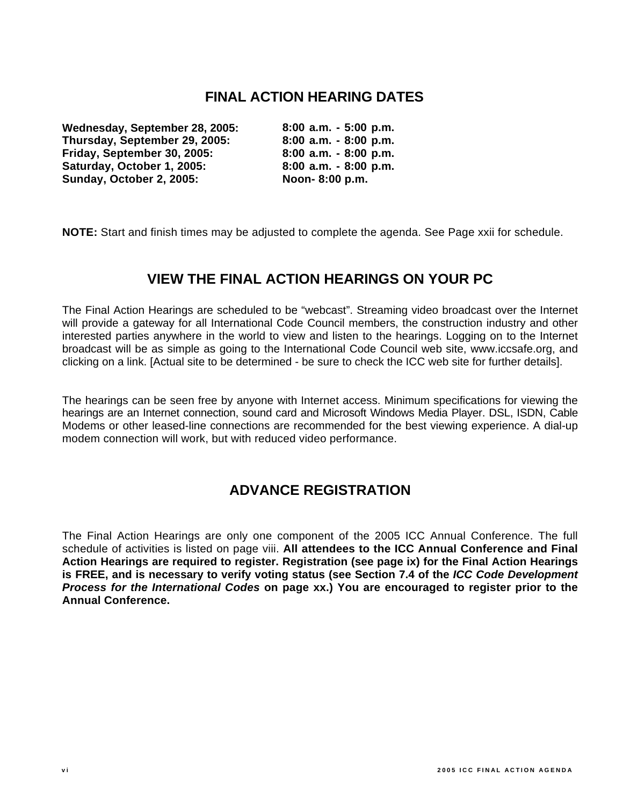### **FINAL ACTION HEARING DATES**

**Wednesday, September 28, 2005: Thursday, September 29, 2005: Friday, September 30, 2005: Saturday, October 1, 2005: Sunday, October 2, 2005:** 

**8:00 a.m. - 5:00 p.m. 8:00 a.m. - 8:00 p.m. 8:00 a.m. - 8:00 p.m. 8:00 a.m. - 8:00 p.m. Noon- 8:00 p.m.** 

**NOTE:** Start and finish times may be adjusted to complete the agenda. See Page xxii for schedule.

### **VIEW THE FINAL ACTION HEARINGS ON YOUR PC**

The Final Action Hearings are scheduled to be "webcast". Streaming video broadcast over the Internet will provide a gateway for all International Code Council members, the construction industry and other interested parties anywhere in the world to view and listen to the hearings. Logging on to the Internet broadcast will be as simple as going to the International Code Council web site, www.iccsafe.org, and clicking on a link. [Actual site to be determined - be sure to check the ICC web site for further details].

The hearings can be seen free by anyone with Internet access. Minimum specifications for viewing the hearings are an Internet connection, sound card and Microsoft Windows Media Player. DSL, ISDN, Cable Modems or other leased-line connections are recommended for the best viewing experience. A dial-up modem connection will work, but with reduced video performance.

### **ADVANCE REGISTRATION**

The Final Action Hearings are only one component of the 2005 ICC Annual Conference. The full schedule of activities is listed on page viii. **All attendees to the ICC Annual Conference and Final Action Hearings are required to register. Registration (see page ix) for the Final Action Hearings is FREE, and is necessary to verify voting status (see Section 7.4 of the** *ICC Code Development Process for the International Codes* **on page xx.) You are encouraged to register prior to the Annual Conference.**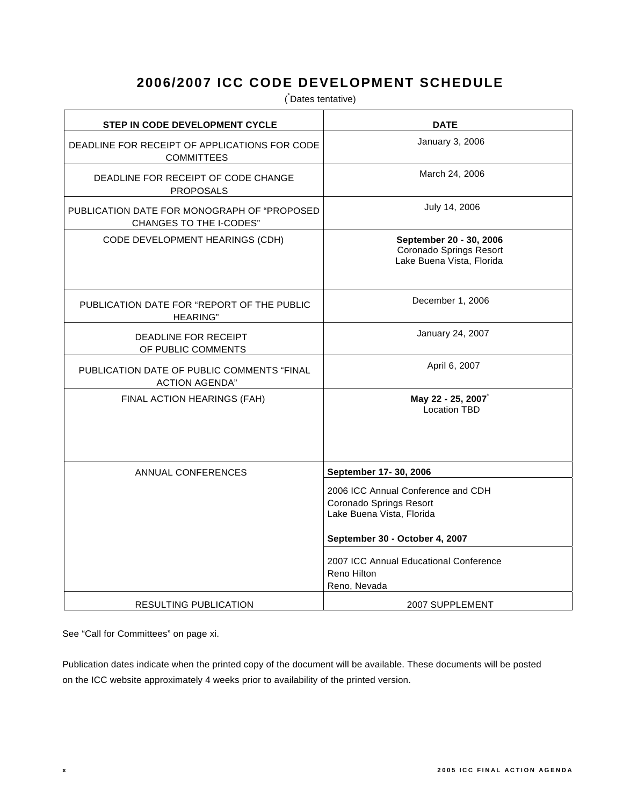### **2006/2007 ICC CODE DEVELOPMENT SCHEDULE**

( \* Dates tentative)

| STEP IN CODE DEVELOPMENT CYCLE                                                | <b>DATE</b>                                                                                |
|-------------------------------------------------------------------------------|--------------------------------------------------------------------------------------------|
| DEADLINE FOR RECEIPT OF APPLICATIONS FOR CODE<br><b>COMMITTEES</b>            | January 3, 2006                                                                            |
| DEADLINE FOR RECEIPT OF CODE CHANGE<br><b>PROPOSALS</b>                       | March 24, 2006                                                                             |
| PUBLICATION DATE FOR MONOGRAPH OF "PROPOSED<br><b>CHANGES TO THE I-CODES"</b> | July 14, 2006                                                                              |
| CODE DEVELOPMENT HEARINGS (CDH)                                               | September 20 - 30, 2006<br>Coronado Springs Resort<br>Lake Buena Vista, Florida            |
| PUBLICATION DATE FOR "REPORT OF THE PUBLIC<br><b>HEARING"</b>                 | December 1, 2006                                                                           |
| <b>DEADLINE FOR RECEIPT</b><br>OF PUBLIC COMMENTS                             | January 24, 2007                                                                           |
| PUBLICATION DATE OF PUBLIC COMMENTS "FINAL<br><b>ACTION AGENDA"</b>           | April 6, 2007                                                                              |
| FINAL ACTION HEARINGS (FAH)                                                   | May 22 - 25, 2007<br><b>Location TBD</b>                                                   |
| ANNUAL CONFERENCES                                                            | September 17- 30, 2006                                                                     |
|                                                                               | 2006 ICC Annual Conference and CDH<br>Coronado Springs Resort<br>Lake Buena Vista, Florida |
|                                                                               | September 30 - October 4, 2007                                                             |
|                                                                               | 2007 ICC Annual Educational Conference<br>Reno Hilton<br>Reno, Nevada                      |
| <b>RESULTING PUBLICATION</b>                                                  | 2007 SUPPLEMENT                                                                            |

See "Call for Committees" on page xi.

Publication dates indicate when the printed copy of the document will be available. These documents will be posted on the ICC website approximately 4 weeks prior to availability of the printed version.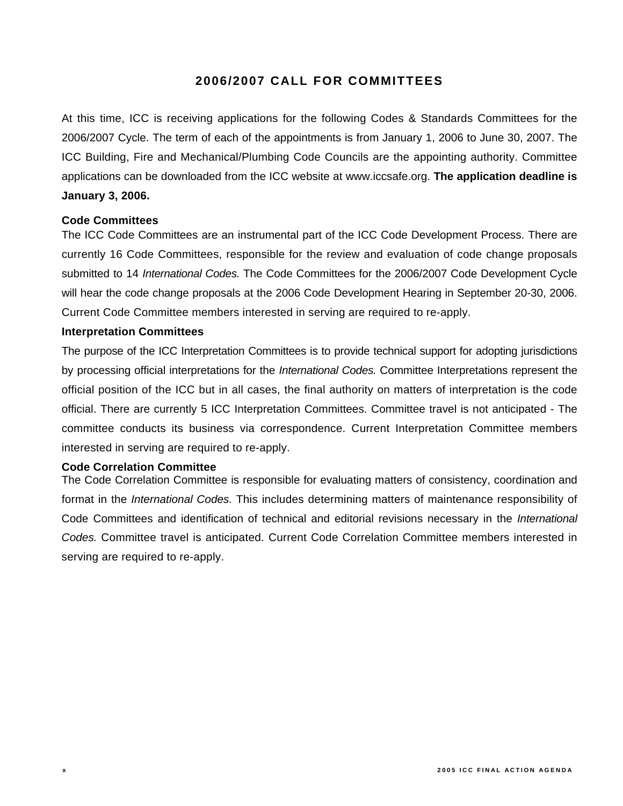### **2006/2007 CALL FOR COMMITTEES**

At this time, ICC is receiving applications for the following Codes & Standards Committees for the 2006/2007 Cycle. The term of each of the appointments is from January 1, 2006 to June 30, 2007. The ICC Building, Fire and Mechanical/Plumbing Code Councils are the appointing authority. Committee applications can be downloaded from the ICC website at www.iccsafe.org. **The application deadline is January 3, 2006.** 

#### **Code Committees**

The ICC Code Committees are an instrumental part of the ICC Code Development Process. There are currently 16 Code Committees, responsible for the review and evaluation of code change proposals submitted to 14 *International Codes.* The Code Committees for the 2006/2007 Code Development Cycle will hear the code change proposals at the 2006 Code Development Hearing in September 20-30, 2006. Current Code Committee members interested in serving are required to re-apply.

#### **Interpretation Committees**

The purpose of the ICC Interpretation Committees is to provide technical support for adopting jurisdictions by processing official interpretations for the *International Codes.* Committee Interpretations represent the official position of the ICC but in all cases, the final authority on matters of interpretation is the code official. There are currently 5 ICC Interpretation Committees. Committee travel is not anticipated - The committee conducts its business via correspondence. Current Interpretation Committee members interested in serving are required to re-apply.

#### **Code Correlation Committee**

The Code Correlation Committee is responsible for evaluating matters of consistency, coordination and format in the *International Codes.* This includes determining matters of maintenance responsibility of Code Committees and identification of technical and editorial revisions necessary in the *International Codes.* Committee travel is anticipated. Current Code Correlation Committee members interested in serving are required to re-apply.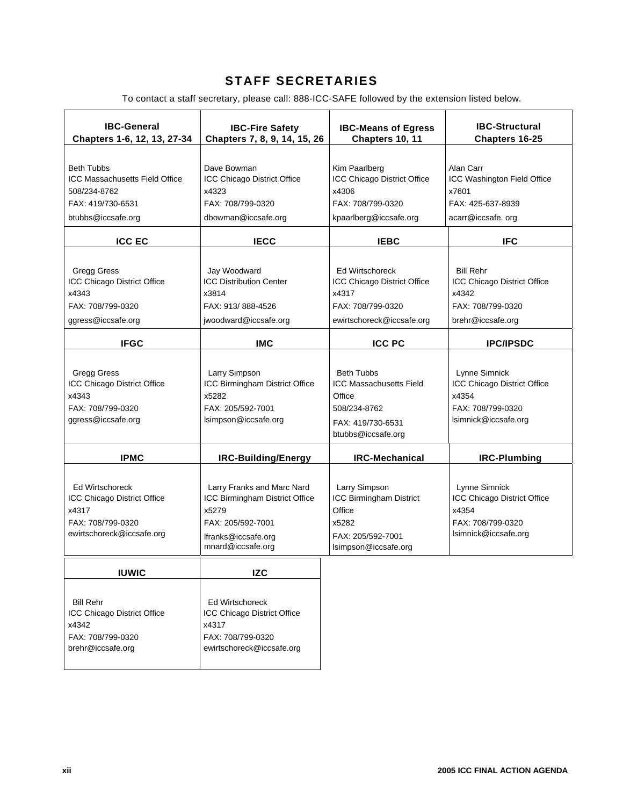### **STAFF SECRETARIES**

To contact a staff secretary, please call: 888-ICC-SAFE followed by the extension listed below.

| <b>IBC-General</b><br>Chapters 1-6, 12, 13, 27-34                                                                     | <b>IBC-Fire Safety</b><br>Chapters 7, 8, 9, 14, 15, 26                                                                                 | <b>IBC-Means of Egress</b><br>Chapters 10, 11                                                                            | <b>IBC-Structural</b><br>Chapters 16-25                                                            |
|-----------------------------------------------------------------------------------------------------------------------|----------------------------------------------------------------------------------------------------------------------------------------|--------------------------------------------------------------------------------------------------------------------------|----------------------------------------------------------------------------------------------------|
| <b>Beth Tubbs</b><br><b>ICC Massachusetts Field Office</b><br>508/234-8762<br>FAX: 419/730-6531<br>btubbs@iccsafe.org | Dave Bowman<br>ICC Chicago District Office<br>x4323<br>FAX: 708/799-0320<br>dbowman@iccsafe.org                                        | Kim Paarlberg<br>ICC Chicago District Office<br>x4306<br>FAX: 708/799-0320<br>kpaarlberg@iccsafe.org                     | Alan Carr<br>ICC Washington Field Office<br>x7601<br>FAX: 425-637-8939<br>acarr@iccsafe.org        |
| <b>ICC EC</b>                                                                                                         | <b>IECC</b>                                                                                                                            | <b>IEBC</b>                                                                                                              | <b>IFC</b>                                                                                         |
| <b>Gregg Gress</b><br>ICC Chicago District Office<br>x4343<br>FAX: 708/799-0320<br>ggress@iccsafe.org                 | Jay Woodward<br><b>ICC Distribution Center</b><br>x3814<br>FAX: 913/888-4526<br>jwoodward@iccsafe.org                                  | <b>Ed Wirtschoreck</b><br>ICC Chicago District Office<br>x4317<br>FAX: 708/799-0320<br>ewirtschoreck@iccsafe.org         | <b>Bill Rehr</b><br>ICC Chicago District Office<br>x4342<br>FAX: 708/799-0320<br>brehr@iccsafe.org |
| <b>IFGC</b>                                                                                                           | <b>IMC</b>                                                                                                                             | <b>ICC PC</b>                                                                                                            | <b>IPC/IPSDC</b>                                                                                   |
| <b>Gregg Gress</b><br>ICC Chicago District Office<br>x4343<br>FAX: 708/799-0320<br>ggress@iccsafe.org                 | Larry Simpson<br>ICC Birmingham District Office<br>x5282<br>FAX: 205/592-7001<br>Isimpson@iccsafe.org                                  | <b>Beth Tubbs</b><br><b>ICC Massachusetts Field</b><br>Office<br>508/234-8762<br>FAX: 419/730-6531<br>btubbs@iccsafe.org | Lynne Simnick<br>ICC Chicago District Office<br>x4354<br>FAX: 708/799-0320<br>Isimnick@iccsafe.org |
| <b>IPMC</b>                                                                                                           | IRC-Building/Energy                                                                                                                    | <b>IRC-Mechanical</b>                                                                                                    | <b>IRC-Plumbing</b>                                                                                |
| <b>Ed Wirtschoreck</b><br>ICC Chicago District Office<br>x4317<br>FAX: 708/799-0320<br>ewirtschoreck@iccsafe.org      | Larry Franks and Marc Nard<br>ICC Birmingham District Office<br>x5279<br>FAX: 205/592-7001<br>lfranks@iccsafe.org<br>mnard@iccsafe.org | Larry Simpson<br>ICC Birmingham District<br>Office<br>x5282<br>FAX: 205/592-7001<br>Isimpson@iccsafe.org                 | Lynne Simnick<br>ICC Chicago District Office<br>x4354<br>FAX: 708/799-0320<br>Isimnick@iccsafe.org |
| <b>IUWIC</b>                                                                                                          | <b>IZC</b>                                                                                                                             |                                                                                                                          |                                                                                                    |
| <b>Bill Rehr</b><br>ICC Chicago District Office<br>x4342<br>FAX: 708/799-0320<br>brehr@iccsafe.org                    | <b>Ed Wirtschoreck</b><br>ICC Chicago District Office<br>x4317<br>FAX: 708/799-0320<br>ewirtschoreck@iccsafe.org                       |                                                                                                                          |                                                                                                    |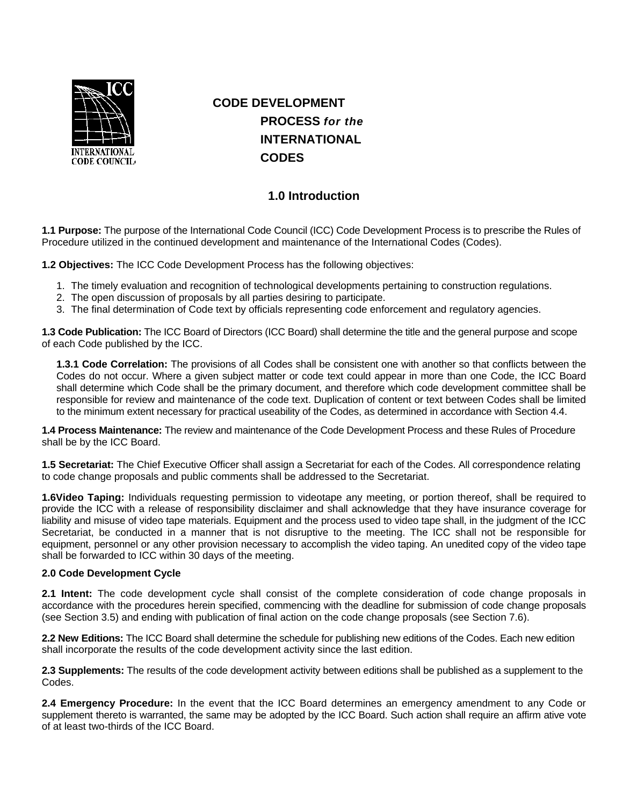

## **CODE DEVELOPMENT PROCESS** *for the*  **INTERNATIONAL CODES**

### **1.0 Introduction**

**1.1 Purpose:** The purpose of the International Code Council (ICC) Code Development Process is to prescribe the Rules of Procedure utilized in the continued development and maintenance of the International Codes (Codes).

**1.2 Objectives:** The ICC Code Development Process has the following objectives:

- 1. The timely evaluation and recognition of technological developments pertaining to construction regulations.
- 2. The open discussion of proposals by all parties desiring to participate.
- 3. The final determination of Code text by officials representing code enforcement and regulatory agencies.

**1.3 Code Publication:** The ICC Board of Directors (ICC Board) shall determine the title and the general purpose and scope of each Code published by the ICC.

**1.3.1 Code Correlation:** The provisions of all Codes shall be consistent one with another so that conflicts between the Codes do not occur. Where a given subject matter or code text could appear in more than one Code, the ICC Board shall determine which Code shall be the primary document, and therefore which code development committee shall be responsible for review and maintenance of the code text. Duplication of content or text between Codes shall be limited to the minimum extent necessary for practical useability of the Codes, as determined in accordance with Section 4.4.

**1.4 Process Maintenance:** The review and maintenance of the Code Development Process and these Rules of Procedure shall be by the ICC Board.

**1.5 Secretariat:** The Chief Executive Officer shall assign a Secretariat for each of the Codes. All correspondence relating to code change proposals and public comments shall be addressed to the Secretariat.

**1.6Video Taping:** Individuals requesting permission to videotape any meeting, or portion thereof, shall be required to provide the ICC with a release of responsibility disclaimer and shall acknowledge that they have insurance coverage for liability and misuse of video tape materials. Equipment and the process used to video tape shall, in the judgment of the ICC Secretariat, be conducted in a manner that is not disruptive to the meeting. The ICC shall not be responsible for equipment, personnel or any other provision necessary to accomplish the video taping. An unedited copy of the video tape shall be forwarded to ICC within 30 days of the meeting.

#### **2.0 Code Development Cycle**

**2.1 Intent:** The code development cycle shall consist of the complete consideration of code change proposals in accordance with the procedures herein specified, commencing with the deadline for submission of code change proposals (see Section 3.5) and ending with publication of final action on the code change proposals (see Section 7.6).

**2.2 New Editions:** The ICC Board shall determine the schedule for publishing new editions of the Codes. Each new edition shall incorporate the results of the code development activity since the last edition.

**2.3 Supplements:** The results of the code development activity between editions shall be published as a supplement to the Codes.

**2.4 Emergency Procedure:** In the event that the ICC Board determines an emergency amendment to any Code or supplement thereto is warranted, the same may be adopted by the ICC Board. Such action shall require an affirm ative vote of at least two-thirds of the ICC Board.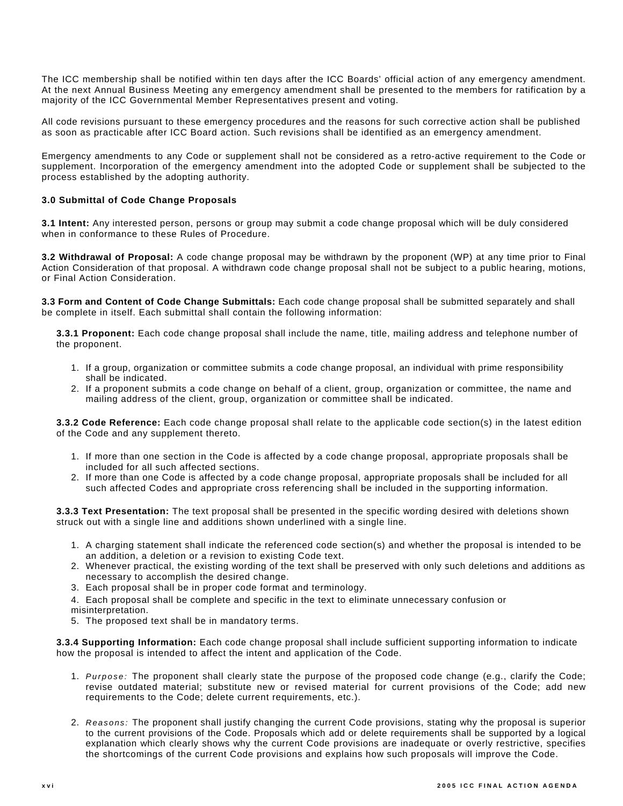The ICC membership shall be notified within ten days after the ICC Boards' official action of any emergency amendment. At the next Annual Business Meeting any emergency amendment shall be presented to the members for ratification by a majority of the ICC Governmental Member Representatives present and voting.

All code revisions pursuant to these emergency procedures and the reasons for such corrective action shall be published as soon as practicable after ICC Board action. Such revisions shall be identified as an emergency amendment.

Emergency amendments to any Code or supplement shall not be considered as a retro-active requirement to the Code or supplement. Incorporation of the emergency amendment into the adopted Code or supplement shall be subjected to the process established by the adopting authority.

#### **3.0 Submittal of Code Change Proposals**

**3.1 Intent:** Any interested person, persons or group may submit a code change proposal which will be duly considered when in conformance to these Rules of Procedure.

**3.2 Withdrawal of Proposal:** A code change proposal may be withdrawn by the proponent (WP) at any time prior to Final Action Consideration of that proposal. A withdrawn code change proposal shall not be subject to a public hearing, motions, or Final Action Consideration.

**3.3 Form and Content of Code Change Submittals:** Each code change proposal shall be submitted separately and shall be complete in itself. Each submittal shall contain the following information:

**3.3.1 Proponent:** Each code change proposal shall include the name, title, mailing address and telephone number of the proponent.

- 1. If a group, organization or committee submits a code change proposal, an individual with prime responsibility shall be indicated.
- 2. If a proponent submits a code change on behalf of a client, group, organization or committee, the name and mailing address of the client, group, organization or committee shall be indicated.

**3.3.2 Code Reference:** Each code change proposal shall relate to the applicable code section(s) in the latest edition of the Code and any supplement thereto.

- 1. If more than one section in the Code is affected by a code change proposal, appropriate proposals shall be included for all such affected sections.
- 2. If more than one Code is affected by a code change proposal, appropriate proposals shall be included for all such affected Codes and appropriate cross referencing shall be included in the supporting information.

**3.3.3 Text Presentation:** The text proposal shall be presented in the specific wording desired with deletions shown struck out with a single line and additions shown underlined with a single line.

- 1. A charging statement shall indicate the referenced code section(s) and whether the proposal is intended to be an addition, a deletion or a revision to existing Code text.
- 2. Whenever practical, the existing wording of the text shall be preserved with only such deletions and additions as necessary to accomplish the desired change.
- 3. Each proposal shall be in proper code format and terminology.
- 4. Each proposal shall be complete and specific in the text to eliminate unnecessary confusion or misinterpretation.
- 5. The proposed text shall be in mandatory terms.

**3.3.4 Supporting Information:** Each code change proposal shall include sufficient supporting information to indicate how the proposal is intended to affect the intent and application of the Code.

- 1. *Purpose:* The proponent shall clearly state the purpose of the proposed code change (e.g., clarify the Code; revise outdated material; substitute new or revised material for current provisions of the Code; add new requirements to the Code; delete current requirements, etc.).
- 2. *Reasons:* The proponent shall justify changing the current Code provisions, stating why the proposal is superior to the current provisions of the Code. Proposals which add or delete requirements shall be supported by a logical explanation which clearly shows why the current Code provisions are inadequate or overly restrictive, specifies the shortcomings of the current Code provisions and explains how such proposals will improve the Code.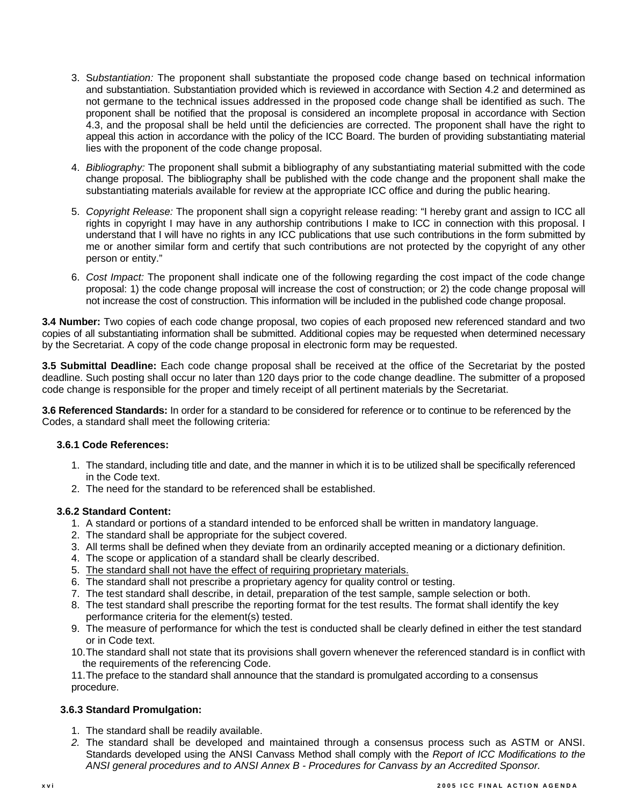- 3. S*ubstantiation:* The proponent shall substantiate the proposed code change based on technical information and substantiation. Substantiation provided which is reviewed in accordance with Section 4.2 and determined as not germane to the technical issues addressed in the proposed code change shall be identified as such. The proponent shall be notified that the proposal is considered an incomplete proposal in accordance with Section 4.3, and the proposal shall be held until the deficiencies are corrected. The proponent shall have the right to appeal this action in accordance with the policy of the ICC Board. The burden of providing substantiating material lies with the proponent of the code change proposal.
- 4. *Bibliography:* The proponent shall submit a bibliography of any substantiating material submitted with the code change proposal. The bibliography shall be published with the code change and the proponent shall make the substantiating materials available for review at the appropriate ICC office and during the public hearing.
- 5. *Copyright Release:* The proponent shall sign a copyright release reading: "I hereby grant and assign to ICC all rights in copyright I may have in any authorship contributions I make to ICC in connection with this proposal. I understand that I will have no rights in any ICC publications that use such contributions in the form submitted by me or another similar form and certify that such contributions are not protected by the copyright of any other person or entity."
- 6. *Cost Impact:* The proponent shall indicate one of the following regarding the cost impact of the code change proposal: 1) the code change proposal will increase the cost of construction; or 2) the code change proposal will not increase the cost of construction. This information will be included in the published code change proposal.

**3.4 Number:** Two copies of each code change proposal, two copies of each proposed new referenced standard and two copies of all substantiating information shall be submitted. Additional copies may be requested when determined necessary by the Secretariat. A copy of the code change proposal in electronic form may be requested.

**3.5 Submittal Deadline:** Each code change proposal shall be received at the office of the Secretariat by the posted deadline. Such posting shall occur no later than 120 days prior to the code change deadline. The submitter of a proposed code change is responsible for the proper and timely receipt of all pertinent materials by the Secretariat.

**3.6 Referenced Standards:** In order for a standard to be considered for reference or to continue to be referenced by the Codes, a standard shall meet the following criteria:

#### **3.6.1 Code References:**

- 1. The standard, including title and date, and the manner in which it is to be utilized shall be specifically referenced in the Code text.
- 2. The need for the standard to be referenced shall be established.

#### **3.6.2 Standard Content:**

- 1. A standard or portions of a standard intended to be enforced shall be written in mandatory language.
- 2. The standard shall be appropriate for the subject covered.
- 3. All terms shall be defined when they deviate from an ordinarily accepted meaning or a dictionary definition.
- 4. The scope or application of a standard shall be clearly described.
- 5. The standard shall not have the effect of requiring proprietary materials.
- 6. The standard shall not prescribe a proprietary agency for quality control or testing.
- 7. The test standard shall describe, in detail, preparation of the test sample, sample selection or both.
- 8. The test standard shall prescribe the reporting format for the test results. The format shall identify the key performance criteria for the element(s) tested.
- 9. The measure of performance for which the test is conducted shall be clearly defined in either the test standard or in Code text.
- 10. The standard shall not state that its provisions shall govern whenever the referenced standard is in conflict with the requirements of the referencing Code.

11. The preface to the standard shall announce that the standard is promulgated according to a consensus procedure.

#### **3.6.3 Standard Promulgation:**

- 1. The standard shall be readily available.
- *2.* The standard shall be developed and maintained through a consensus process such as ASTM or ANSI. Standards developed using the ANSI Canvass Method shall comply with the *Report of ICC Modifications to the ANSI general procedures and to ANSI Annex B - Procedures for Canvass by an Accredited Sponsor.*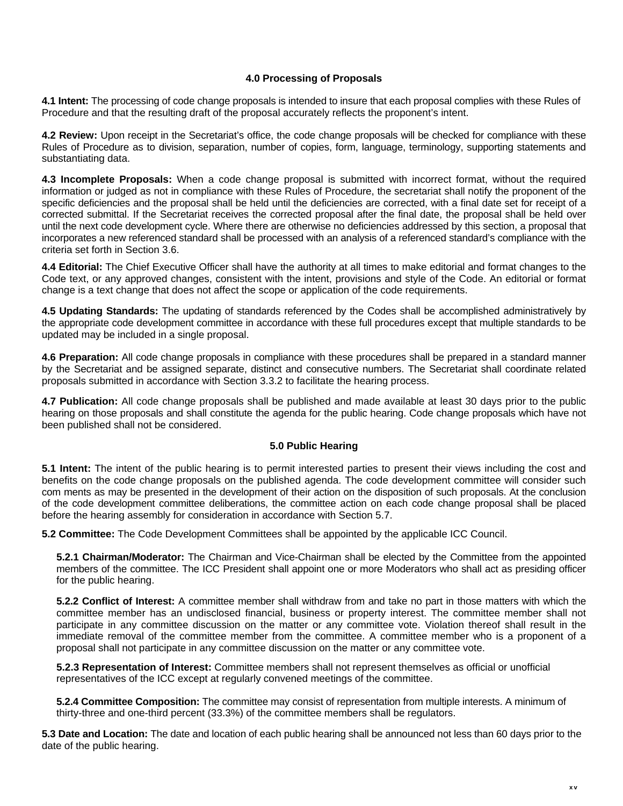#### **4.0 Processing of Proposals**

**4.1 Intent:** The processing of code change proposals is intended to insure that each proposal complies with these Rules of Procedure and that the resulting draft of the proposal accurately reflects the proponent's intent.

**4.2 Review:** Upon receipt in the Secretariat's office, the code change proposals will be checked for compliance with these Rules of Procedure as to division, separation, number of copies, form, language, terminology, supporting statements and substantiating data.

**4.3 Incomplete Proposals:** When a code change proposal is submitted with incorrect format, without the required information or judged as not in compliance with these Rules of Procedure, the secretariat shall notify the proponent of the specific deficiencies and the proposal shall be held until the deficiencies are corrected, with a final date set for receipt of a corrected submittal. If the Secretariat receives the corrected proposal after the final date, the proposal shall be held over until the next code development cycle. Where there are otherwise no deficiencies addressed by this section, a proposal that incorporates a new referenced standard shall be processed with an analysis of a referenced standard's compliance with the criteria set forth in Section 3.6.

**4.4 Editorial:** The Chief Executive Officer shall have the authority at all times to make editorial and format changes to the Code text, or any approved changes, consistent with the intent, provisions and style of the Code. An editorial or format change is a text change that does not affect the scope or application of the code requirements.

**4.5 Updating Standards:** The updating of standards referenced by the Codes shall be accomplished administratively by the appropriate code development committee in accordance with these full procedures except that multiple standards to be updated may be included in a single proposal.

**4.6 Preparation:** All code change proposals in compliance with these procedures shall be prepared in a standard manner by the Secretariat and be assigned separate, distinct and consecutive numbers. The Secretariat shall coordinate related proposals submitted in accordance with Section 3.3.2 to facilitate the hearing process.

**4.7 Publication:** All code change proposals shall be published and made available at least 30 days prior to the public hearing on those proposals and shall constitute the agenda for the public hearing. Code change proposals which have not been published shall not be considered.

#### **5.0 Public Hearing**

**5.1 Intent:** The intent of the public hearing is to permit interested parties to present their views including the cost and benefits on the code change proposals on the published agenda. The code development committee will consider such com ments as may be presented in the development of their action on the disposition of such proposals. At the conclusion of the code development committee deliberations, the committee action on each code change proposal shall be placed before the hearing assembly for consideration in accordance with Section 5.7.

**5.2 Committee:** The Code Development Committees shall be appointed by the applicable ICC Council.

**5.2.1 Chairman/Moderator:** The Chairman and Vice-Chairman shall be elected by the Committee from the appointed members of the committee. The ICC President shall appoint one or more Moderators who shall act as presiding officer for the public hearing.

**5.2.2 Conflict of Interest:** A committee member shall withdraw from and take no part in those matters with which the committee member has an undisclosed financial, business or property interest. The committee member shall not participate in any committee discussion on the matter or any committee vote. Violation thereof shall result in the immediate removal of the committee member from the committee. A committee member who is a proponent of a proposal shall not participate in any committee discussion on the matter or any committee vote.

**5.2.3 Representation of Interest:** Committee members shall not represent themselves as official or unofficial representatives of the ICC except at regularly convened meetings of the committee.

**5.2.4 Committee Composition:** The committee may consist of representation from multiple interests. A minimum of thirty-three and one-third percent (33.3%) of the committee members shall be regulators.

**5.3 Date and Location:** The date and location of each public hearing shall be announced not less than 60 days prior to the date of the public hearing.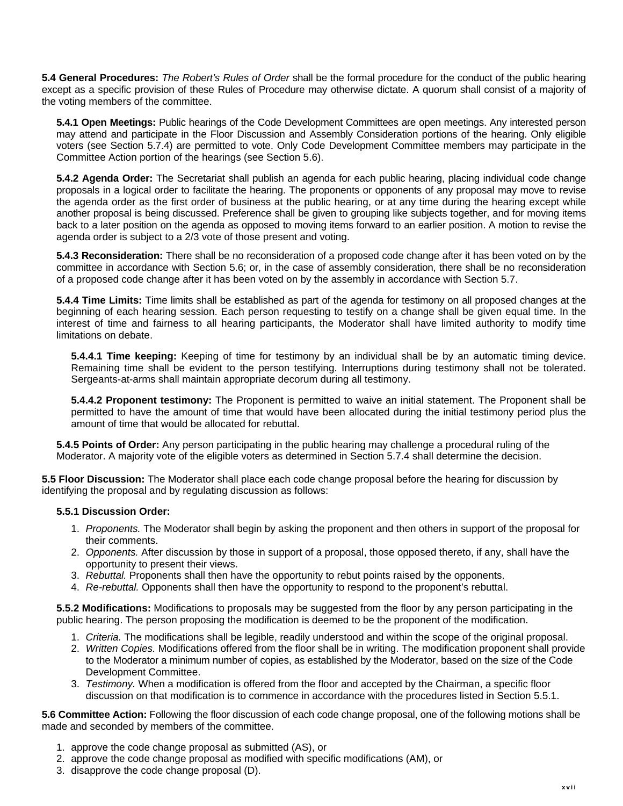**5.4 General Procedures:** *The Robert's Rules of Order* shall be the formal procedure for the conduct of the public hearing except as a specific provision of these Rules of Procedure may otherwise dictate. A quorum shall consist of a majority of the voting members of the committee.

**5.4.1 Open Meetings:** Public hearings of the Code Development Committees are open meetings. Any interested person may attend and participate in the Floor Discussion and Assembly Consideration portions of the hearing. Only eligible voters (see Section 5.7.4) are permitted to vote. Only Code Development Committee members may participate in the Committee Action portion of the hearings (see Section 5.6).

**5.4.2 Agenda Order:** The Secretariat shall publish an agenda for each public hearing, placing individual code change proposals in a logical order to facilitate the hearing. The proponents or opponents of any proposal may move to revise the agenda order as the first order of business at the public hearing, or at any time during the hearing except while another proposal is being discussed. Preference shall be given to grouping like subjects together, and for moving items back to a later position on the agenda as opposed to moving items forward to an earlier position. A motion to revise the agenda order is subject to a 2/3 vote of those present and voting.

**5.4.3 Reconsideration:** There shall be no reconsideration of a proposed code change after it has been voted on by the committee in accordance with Section 5.6; or, in the case of assembly consideration, there shall be no reconsideration of a proposed code change after it has been voted on by the assembly in accordance with Section 5.7.

**5.4.4 Time Limits:** Time limits shall be established as part of the agenda for testimony on all proposed changes at the beginning of each hearing session. Each person requesting to testify on a change shall be given equal time. In the interest of time and fairness to all hearing participants, the Moderator shall have limited authority to modify time limitations on debate.

**5.4.4.1 Time keeping:** Keeping of time for testimony by an individual shall be by an automatic timing device. Remaining time shall be evident to the person testifying. Interruptions during testimony shall not be tolerated. Sergeants-at-arms shall maintain appropriate decorum during all testimony.

**5.4.4.2 Proponent testimony:** The Proponent is permitted to waive an initial statement. The Proponent shall be permitted to have the amount of time that would have been allocated during the initial testimony period plus the amount of time that would be allocated for rebuttal.

**5.4.5 Points of Order:** Any person participating in the public hearing may challenge a procedural ruling of the Moderator. A majority vote of the eligible voters as determined in Section 5.7.4 shall determine the decision.

**5.5 Floor Discussion:** The Moderator shall place each code change proposal before the hearing for discussion by identifying the proposal and by regulating discussion as follows:

#### **5.5.1 Discussion Order:**

- 1. *Proponents.* The Moderator shall begin by asking the proponent and then others in support of the proposal for their comments.
- 2. *Opponents.* After discussion by those in support of a proposal, those opposed thereto, if any, shall have the opportunity to present their views.
- 3. *Rebuttal.* Proponents shall then have the opportunity to rebut points raised by the opponents.
- 4. *Re-rebuttal.* Opponents shall then have the opportunity to respond to the proponent's rebuttal.

**5.5.2 Modifications:** Modifications to proposals may be suggested from the floor by any person participating in the public hearing. The person proposing the modification is deemed to be the proponent of the modification.

- 1. *Criteria.* The modifications shall be legible, readily understood and within the scope of the original proposal.
- 2. *Written Copies.* Modifications offered from the floor shall be in writing. The modification proponent shall provide to the Moderator a minimum number of copies, as established by the Moderator, based on the size of the Code Development Committee.
- 3. *Testimony.* When a modification is offered from the floor and accepted by the Chairman, a specific floor discussion on that modification is to commence in accordance with the procedures listed in Section 5.5.1.

**5.6 Committee Action:** Following the floor discussion of each code change proposal, one of the following motions shall be made and seconded by members of the committee.

- 1. approve the code change proposal as submitted (AS), or
- 2. approve the code change proposal as modified with specific modifications (AM), or
- 3. disapprove the code change proposal (D).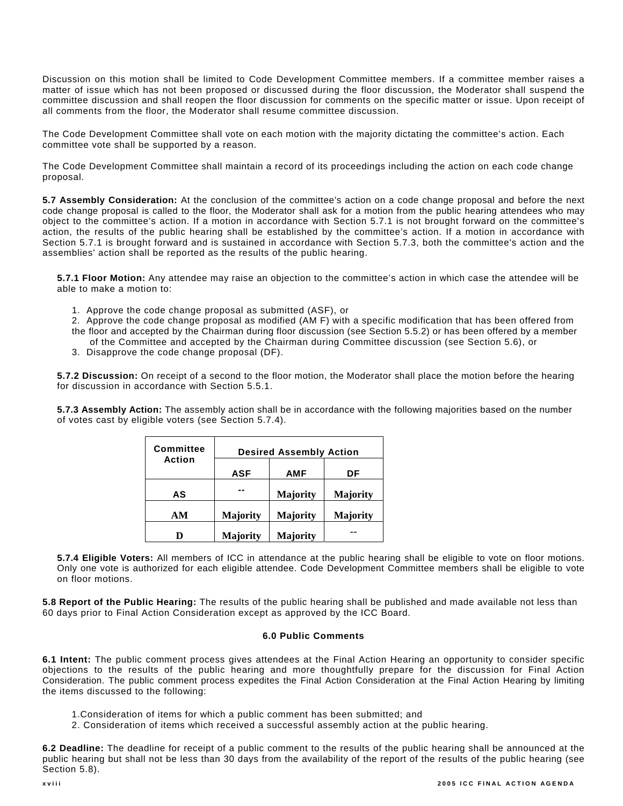Discussion on this motion shall be limited to Code Development Committee members. If a committee member raises a matter of issue which has not been proposed or discussed during the floor discussion, the Moderator shall suspend the committee discussion and shall reopen the floor discussion for comments on the specific matter or issue. Upon receipt of all comments from the floor, the Moderator shall resume committee discussion.

The Code Development Committee shall vote on each motion with the majority dictating the committee's action. Each committee vote shall be supported by a reason.

The Code Development Committee shall maintain a record of its proceedings including the action on each code change proposal.

**5.7 Assembly Consideration:** At the conclusion of the committee's action on a code change proposal and before the next code change proposal is called to the floor, the Moderator shall ask for a motion from the public hearing attendees who may object to the committee's action. If a motion in accordance with Section 5.7.1 is not brought forward on the committee's action, the results of the public hearing shall be established by the committee's action. If a motion in accordance with Section 5.7.1 is brought forward and is sustained in accordance with Section 5.7.3, both the committee's action and the assemblies' action shall be reported as the results of the public hearing.

**5.7.1 Floor Motion:** Any attendee may raise an objection to the committee's action in which case the attendee will be able to make a motion to:

- 1. Approve the code change proposal as submitted (ASF), or
- 2. Approve the code change proposal as modified (AM F) with a specific modification that has been offered from the floor and accepted by the Chairman during floor discussion (see Section 5.5.2) or has been offered by a member of the Committee and accepted by the Chairman during Committee discussion (see Section 5.6), or
- 3. Disapprove the code change proposal (DF).

**5.7.2 Discussion:** On receipt of a second to the floor motion, the Moderator shall place the motion before the hearing for discussion in accordance with Section 5.5.1.

**5.7.3 Assembly Action:** The assembly action shall be in accordance with the following majorities based on the number of votes cast by eligible voters (see Section 5.7.4).

| <b>Committee</b> | <b>Desired Assembly Action</b> |                 |                 |
|------------------|--------------------------------|-----------------|-----------------|
| Action           |                                |                 |                 |
|                  | <b>ASF</b>                     | <b>AMF</b>      | DF              |
| AS               |                                | <b>Majority</b> | <b>Majority</b> |
| AM               | <b>Majority</b>                | <b>Majority</b> | <b>Majority</b> |
| n                | <b>Majority</b>                | <b>Majority</b> |                 |

**5.7.4 Eligible Voters:** All members of ICC in attendance at the public hearing shall be eligible to vote on floor motions. Only one vote is authorized for each eligible attendee. Code Development Committee members shall be eligible to vote on floor motions.

**5.8 Report of the Public Hearing:** The results of the public hearing shall be published and made available not less than 60 days prior to Final Action Consideration except as approved by the ICC Board.

#### **6.0 Public Comments**

**6.1 Intent:** The public comment process gives attendees at the Final Action Hearing an opportunity to consider specific objections to the results of the public hearing and more thoughtfully prepare for the discussion for Final Action Consideration. The public comment process expedites the Final Action Consideration at the Final Action Hearing by limiting the items discussed to the following:

- 1.Consideration of items for which a public comment has been submitted; and
- 2. Consideration of items which received a successful assembly action at the public hearing.

**6.2 Deadline:** The deadline for receipt of a public comment to the results of the public hearing shall be announced at the public hearing but shall not be less than 30 days from the availability of the report of the results of the public hearing (see Section 5.8).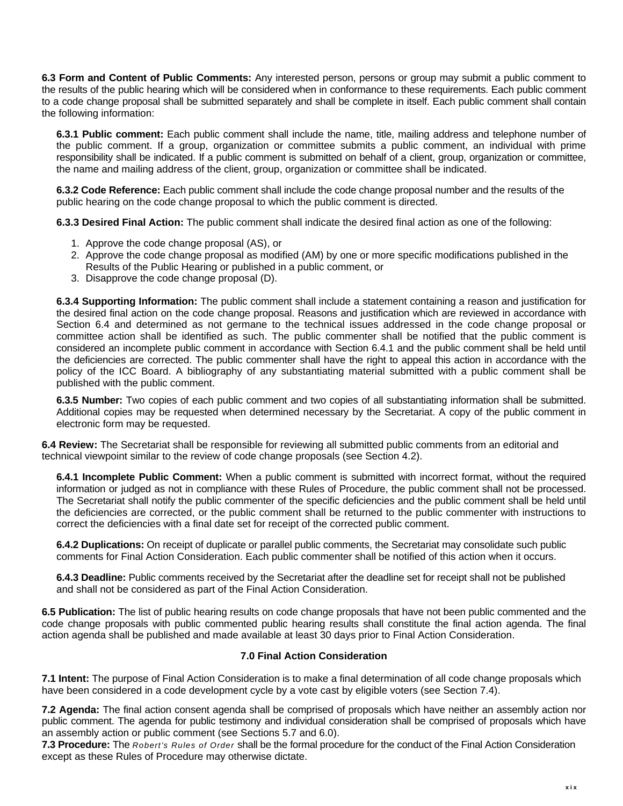**6.3 Form and Content of Public Comments:** Any interested person, persons or group may submit a public comment to the results of the public hearing which will be considered when in conformance to these requirements. Each public comment to a code change proposal shall be submitted separately and shall be complete in itself. Each public comment shall contain the following information:

**6.3.1 Public comment:** Each public comment shall include the name, title, mailing address and telephone number of the public comment. If a group, organization or committee submits a public comment, an individual with prime responsibility shall be indicated. If a public comment is submitted on behalf of a client, group, organization or committee, the name and mailing address of the client, group, organization or committee shall be indicated.

**6.3.2 Code Reference:** Each public comment shall include the code change proposal number and the results of the public hearing on the code change proposal to which the public comment is directed.

**6.3.3 Desired Final Action:** The public comment shall indicate the desired final action as one of the following:

- 1. Approve the code change proposal (AS), or
- 2. Approve the code change proposal as modified (AM) by one or more specific modifications published in the Results of the Public Hearing or published in a public comment, or
- 3. Disapprove the code change proposal (D).

**6.3.4 Supporting Information:** The public comment shall include a statement containing a reason and justification for the desired final action on the code change proposal. Reasons and justification which are reviewed in accordance with Section 6.4 and determined as not germane to the technical issues addressed in the code change proposal or committee action shall be identified as such. The public commenter shall be notified that the public comment is considered an incomplete public comment in accordance with Section 6.4.1 and the public comment shall be held until the deficiencies are corrected. The public commenter shall have the right to appeal this action in accordance with the policy of the ICC Board. A bibliography of any substantiating material submitted with a public comment shall be published with the public comment.

**6.3.5 Number:** Two copies of each public comment and two copies of all substantiating information shall be submitted. Additional copies may be requested when determined necessary by the Secretariat. A copy of the public comment in electronic form may be requested.

**6.4 Review:** The Secretariat shall be responsible for reviewing all submitted public comments from an editorial and technical viewpoint similar to the review of code change proposals (see Section 4.2).

**6.4.1 Incomplete Public Comment:** When a public comment is submitted with incorrect format, without the required information or judged as not in compliance with these Rules of Procedure, the public comment shall not be processed. The Secretariat shall notify the public commenter of the specific deficiencies and the public comment shall be held until the deficiencies are corrected, or the public comment shall be returned to the public commenter with instructions to correct the deficiencies with a final date set for receipt of the corrected public comment.

**6.4.2 Duplications:** On receipt of duplicate or parallel public comments, the Secretariat may consolidate such public comments for Final Action Consideration. Each public commenter shall be notified of this action when it occurs.

**6.4.3 Deadline:** Public comments received by the Secretariat after the deadline set for receipt shall not be published and shall not be considered as part of the Final Action Consideration.

**6.5 Publication:** The list of public hearing results on code change proposals that have not been public commented and the code change proposals with public commented public hearing results shall constitute the final action agenda. The final action agenda shall be published and made available at least 30 days prior to Final Action Consideration.

#### **7.0 Final Action Consideration**

**7.1 Intent:** The purpose of Final Action Consideration is to make a final determination of all code change proposals which have been considered in a code development cycle by a vote cast by eligible voters (see Section 7.4).

**7.2 Agenda:** The final action consent agenda shall be comprised of proposals which have neither an assembly action nor public comment. The agenda for public testimony and individual consideration shall be comprised of proposals which have an assembly action or public comment (see Sections 5.7 and 6.0).

**7.3 Procedure:** The *Robert's Rules of Order* shall be the formal procedure for the conduct of the Final Action Consideration except as these Rules of Procedure may otherwise dictate.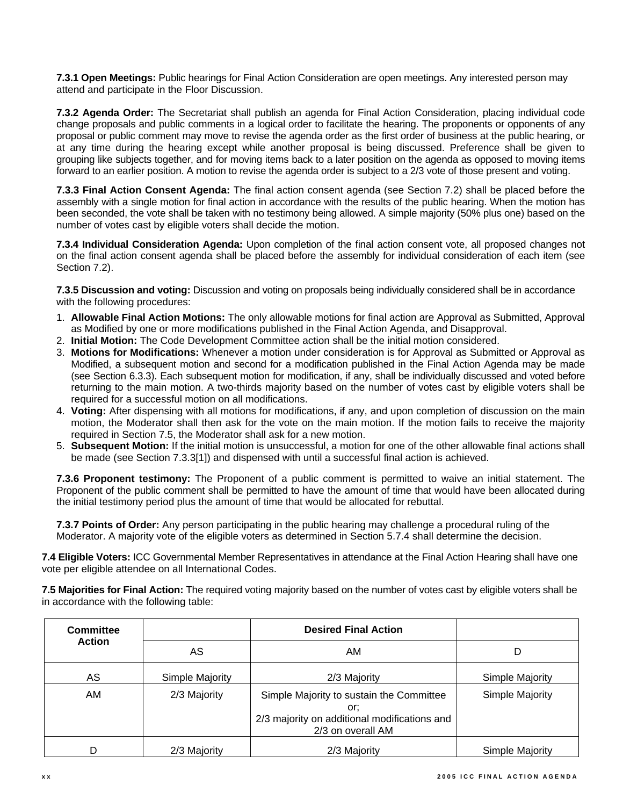**7.3.1 Open Meetings:** Public hearings for Final Action Consideration are open meetings. Any interested person may attend and participate in the Floor Discussion.

**7.3.2 Agenda Order:** The Secretariat shall publish an agenda for Final Action Consideration, placing individual code change proposals and public comments in a logical order to facilitate the hearing. The proponents or opponents of any proposal or public comment may move to revise the agenda order as the first order of business at the public hearing, or at any time during the hearing except while another proposal is being discussed. Preference shall be given to grouping like subjects together, and for moving items back to a later position on the agenda as opposed to moving items forward to an earlier position. A motion to revise the agenda order is subject to a 2/3 vote of those present and voting.

**7.3.3 Final Action Consent Agenda:** The final action consent agenda (see Section 7.2) shall be placed before the assembly with a single motion for final action in accordance with the results of the public hearing. When the motion has been seconded, the vote shall be taken with no testimony being allowed. A simple majority (50% plus one) based on the number of votes cast by eligible voters shall decide the motion.

**7.3.4 Individual Consideration Agenda:** Upon completion of the final action consent vote, all proposed changes not on the final action consent agenda shall be placed before the assembly for individual consideration of each item (see Section 7.2).

**7.3.5 Discussion and voting:** Discussion and voting on proposals being individually considered shall be in accordance with the following procedures:

- 1. **Allowable Final Action Motions:** The only allowable motions for final action are Approval as Submitted, Approval as Modified by one or more modifications published in the Final Action Agenda, and Disapproval.
- 2. **Initial Motion:** The Code Development Committee action shall be the initial motion considered.
- 3. **Motions for Modifications:** Whenever a motion under consideration is for Approval as Submitted or Approval as Modified, a subsequent motion and second for a modification published in the Final Action Agenda may be made (see Section 6.3.3). Each subsequent motion for modification, if any, shall be individually discussed and voted before returning to the main motion. A two-thirds majority based on the number of votes cast by eligible voters shall be required for a successful motion on all modifications.
- 4. **Voting:** After dispensing with all motions for modifications, if any, and upon completion of discussion on the main motion, the Moderator shall then ask for the vote on the main motion. If the motion fails to receive the majority required in Section 7.5, the Moderator shall ask for a new motion.
- 5. **Subsequent Motion:** If the initial motion is unsuccessful, a motion for one of the other allowable final actions shall be made (see Section 7.3.3[1]) and dispensed with until a successful final action is achieved.

**7.3.6 Proponent testimony:** The Proponent of a public comment is permitted to waive an initial statement. The Proponent of the public comment shall be permitted to have the amount of time that would have been allocated during the initial testimony period plus the amount of time that would be allocated for rebuttal.

**7.3.7 Points of Order:** Any person participating in the public hearing may challenge a procedural ruling of the Moderator. A majority vote of the eligible voters as determined in Section 5.7.4 shall determine the decision.

**7.4 Eligible Voters:** ICC Governmental Member Representatives in attendance at the Final Action Hearing shall have one vote per eligible attendee on all International Codes.

**7.5 Majorities for Final Action:** The required voting majority based on the number of votes cast by eligible voters shall be in accordance with the following table:

| <b>Committee</b> |                 | <b>Desired Final Action</b>                                                                                          |                 |
|------------------|-----------------|----------------------------------------------------------------------------------------------------------------------|-----------------|
| <b>Action</b>    | AS              | AM                                                                                                                   | D               |
| AS               | Simple Majority | 2/3 Majority                                                                                                         | Simple Majority |
| AM               | 2/3 Majority    | Simple Majority to sustain the Committee<br>or:<br>2/3 majority on additional modifications and<br>2/3 on overall AM | Simple Majority |
| D                | 2/3 Majority    | 2/3 Majority                                                                                                         | Simple Majority |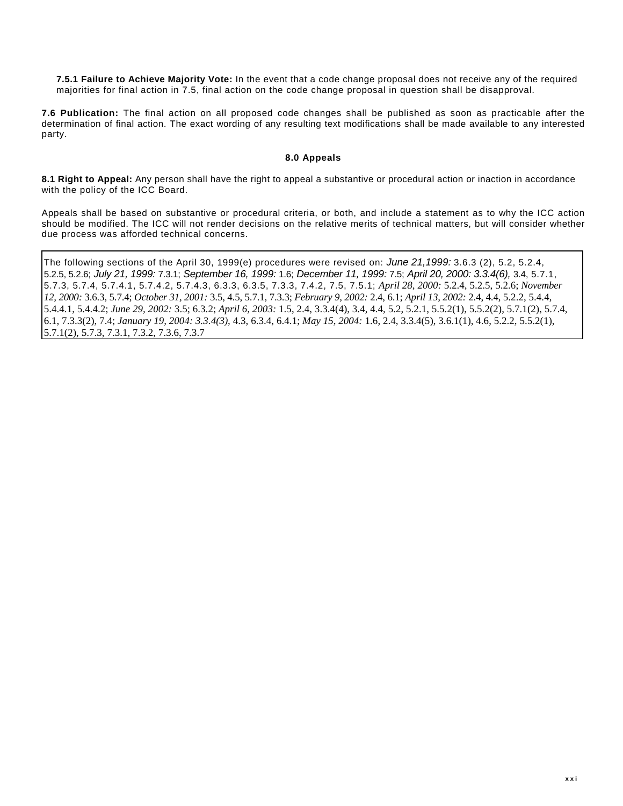**7.5.1 Failure to Achieve Majority Vote:** In the event that a code change proposal does not receive any of the required majorities for final action in 7.5, final action on the code change proposal in question shall be disapproval.

**7.6 Publication:** The final action on all proposed code changes shall be published as soon as practicable after the determination of final action. The exact wording of any resulting text modifications shall be made available to any interested party.

#### **8.0 Appeals**

**8.1 Right to Appeal:** Any person shall have the right to appeal a substantive or procedural action or inaction in accordance with the policy of the ICC Board.

Appeals shall be based on substantive or procedural criteria, or both, and include a statement as to why the ICC action should be modified. The ICC will not render decisions on the relative merits of technical matters, but will consider whether due process was afforded technical concerns.

The following sections of the April 30, 1999(e) procedures were revised on: *June 21,1999:* 3.6.3 (2), 5.2, 5.2.4, 5.2.5, 5.2.6; *July 21, 1999:* 7.3.1; *September 16, 1999:* 1.6; *December 11, 1999:* 7.5; *April 20, 2000: 3.3.4(6),* 3.4, 5.7.1, 5.7.3, 5.7.4, 5.7.4.1, 5.7.4.2, 5.7.4.3, 6.3.3, 6.3.5, 7.3.3, 7.4.2, 7.5, 7.5.1; *April 28, 2000:* 5.2.4, 5.2.5, 5.2.6; *November 12, 2000:* 3.6.3, 5.7.4; *October 31, 2001:* 3.5, 4.5, 5.7.1, 7.3.3; *February 9, 2002:* 2.4, 6.1; *April 13, 2002:* 2.4, 4.4, 5.2.2, 5.4.4, 5.4.4.1, 5.4.4.2; *June 29, 2002:* 3.5; 6.3.2; *April 6, 2003:* 1.5, 2.4, 3.3.4(4), 3.4, 4.4, 5.2, 5.2.1, 5.5.2(1), 5.5.2(2), 5.7.1(2), 5.7.4, 6.1, 7.3.3(2), 7.4; *January 19, 2004: 3.3.4(3),* 4.3, 6.3.4, 6.4.1; *May 15, 2004:* 1.6, 2.4, 3.3.4(5), 3.6.1(1), 4.6, 5.2.2, 5.5.2(1), 5.7.1(2), 5.7.3, 7.3.1, 7.3.2, 7.3.6, 7.3.7